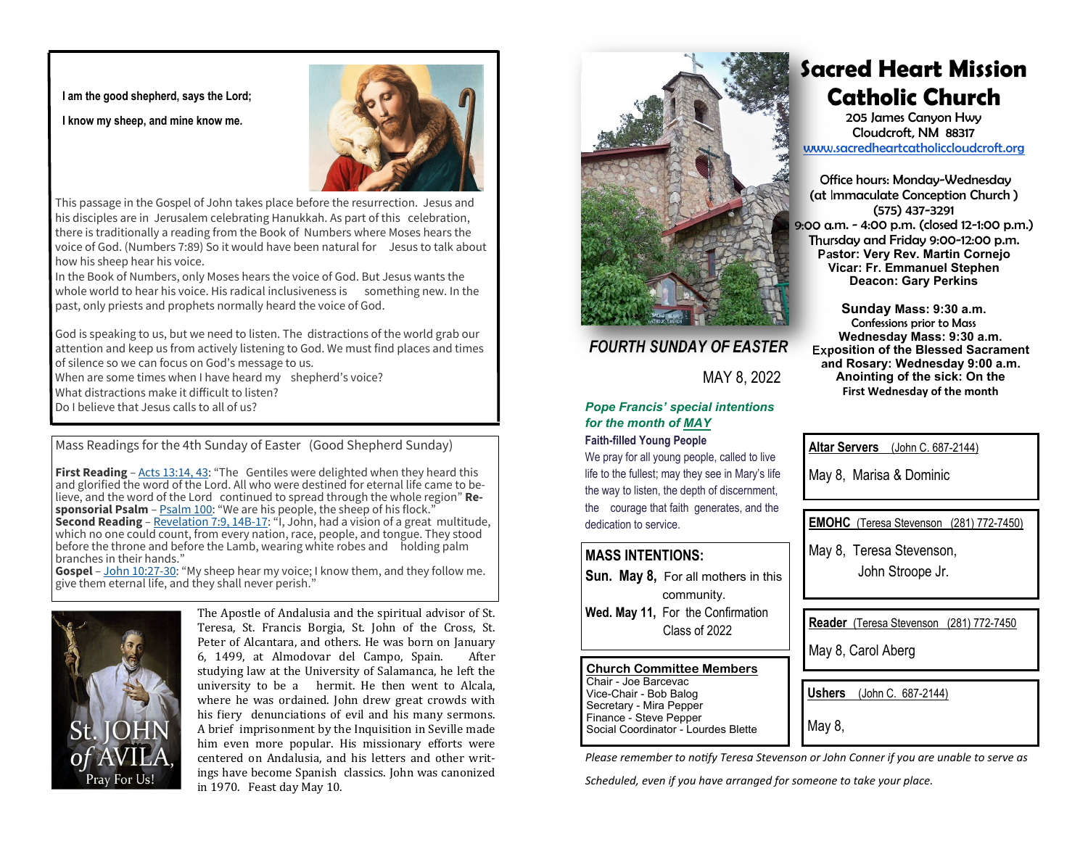**I am the good shepherd, says the Lord;** 

**I know my sheep, and mine know me.** 



This passage in the Gospel of John takes place before the resurrection. Jesus and his disciples are in Jerusalem celebrating Hanukkah. As part of this celebration, there is traditionally a reading from the Book of Numbers where Moses hears the voice of God. (Numbers 7:89) So it would have been natural for Jesus to talk about how his sheep hear his voice.

In the Book of Numbers, only Moses hears the voice of God. But Jesus wants the whole world to hear his voice. His radical inclusiveness is something new. In the past, only priests and prophets normally heard the voice of God.

God is speaking to us, but we need to listen. The distractions of the world grab our attention and keep us from actively listening to God. We must find places and times of silence so we can focus on God's message to us.

When are some times when I have heard my shepherd's voice?

What distractions make it difficult to listen?

Do I believe that Jesus calls to all of us?

Mass Readings for the 4th Sunday of Easter (Good Shepherd Sunday)

**First Reading** – Acts 13:14, 43: "The Gentiles were delighted when they heard this and glorified the word of the Lord. All who were destined for eternal life came to believe, and the word of the Lord continued to spread through the whole region" **Responsorial Psalm** – **Psalm 100:** "We are his people, the sheep of his flock." **Second Reading** – Revelation 7:9, 14B-17: "I, John, had a vision of a great multitude, which no one could count, from every nation, race, people, and tongue. They stood before the throne and before the Lamb, wearing white robes and holding palm branches in their hands."

Gospel – John 10:27-30: "My sheep hear my voice; I know them, and they follow me. give them eternal life, and they shall never perish."



The Apostle of Andalusia and the spiritual advisor of St. Teresa, St. Francis Borgia, St. John of the Cross, St. Peter of Alcantara, and others. He was born on January 6, 1499, at Almodovar del Campo, Spain. After studying law at the University of Salamanca, he left the university to be a hermit. He then went to Alcala, where he was ordained. John drew great crowds with his fiery denunciations of evil and his many sermons. A brief imprisonment by the Inquisition in Seville made him even more popular. His missionary efforts were centered on Andalusia, and his letters and other writings have become Spanish classics. John was canonized in 1970. Feast day May 10.



## *FOURTH SUNDAY OF EASTER*

MAY 8, 2022

## *Pope Francis' special intentions for the month of MAY*

## **Faith-filled Young People**

We pray for all young people, called to live life to the fullest; may they see in Mary's life the way to listen, the depth of discernment, the courage that faith generates, and the dedication to service.

## **MASS INTENTIONS:**

**Sun. May 8,** For all mothers in this community. **Wed. May 11,** For the Confirmation Class of 2022

### **Church Committee Members** Chair - Joe Barcevac

Vice-Chair - Bob Balog Secretary - Mira Pepper Finance - Steve Pepper Social Coordinator - Lourdes Blette

## **Sacred Heart Mission Catholic Church**

205 James Canyon Hwy Cloudcroft, NM 88317 www.sacredheartcatholiccloudcroft.org

Office hours: Monday-Wednesday (at Immaculate Conception Church ) (575) 437-3291 9:00 a.m. - 4:00 p.m. (closed 12-1:00 p.m.) Thursday and Friday 9:00-12:00 p.m. **Pastor: Very Rev. Martin Cornejo Vicar: Fr. Emmanuel Stephen Deacon: Gary Perkins** 

**Sunday Mass: 9:30 a.m.**  Confessions prior to Mass **Wednesday Mass: 9:30 a.m. Exposition of the Blessed Sacrament and Rosary: Wednesday 9:00 a.m. Anointing of the sick: On the First Wednesday of the month** 

**Altar Servers** (John C. 687-2144)

May 8, Marisa & Dominic

**EMOHC** (Teresa Stevenson (281) 772-7450)

May 8, Teresa Stevenson,

John Stroope Jr.

**Reader** (Teresa Stevenson (281) 772-7450

May 8, Carol Aberg

**Ushers** (John C. 687-2144)

May 8.

*Please remember to notify Teresa Stevenson or John Conner if you are unable to serve as* 

*Scheduled, even if you have arranged for someone to take your place.*